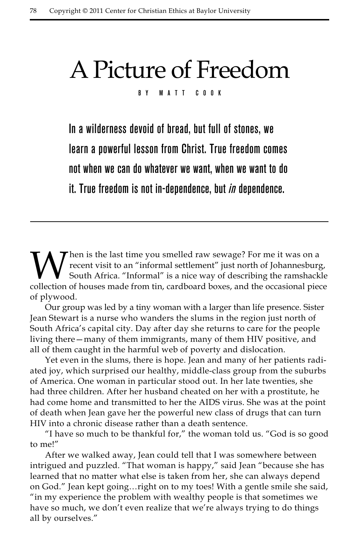## A Picture of Freedom

By Matt Cook

In a wilderness devoid of bread, but full of stones, we learn a powerful lesson from Christ. True freedom comes not when we can do whatever we want, when we want to do it. True freedom is not in-dependence, but *in* dependence.

When is the last time you smelled raw sewage? For me it was on a<br>recent visit to an "informal settlement" just north of Johannesburg<br>South Africa. "Informal" is a nice way of describing the ramshack<br>collection of houses ma recent visit to an "informal settlement" just north of Johannesburg, South Africa. "Informal" is a nice way of describing the ramshackle collection of houses made from tin, cardboard boxes, and the occasional piece of plywood.

Our group was led by a tiny woman with a larger than life presence. Sister Jean Stewart is a nurse who wanders the slums in the region just north of South Africa's capital city. Day after day she returns to care for the people living there—many of them immigrants, many of them HIV positive, and all of them caught in the harmful web of poverty and dislocation.

Yet even in the slums, there is hope. Jean and many of her patients radiated joy, which surprised our healthy, middle-class group from the suburbs of America. One woman in particular stood out. In her late twenties, she had three children. After her husband cheated on her with a prostitute, he had come home and transmitted to her the AIDS virus. She was at the point of death when Jean gave her the powerful new class of drugs that can turn HIV into a chronic disease rather than a death sentence.

"I have so much to be thankful for," the woman told us. "God is so good to me!"

After we walked away, Jean could tell that I was somewhere between intrigued and puzzled. "That woman is happy," said Jean "because she has learned that no matter what else is taken from her, she can always depend on God." Jean kept going…right on to my toes! With a gentle smile she said, "in my experience the problem with wealthy people is that sometimes we have so much, we don't even realize that we're always trying to do things all by ourselves."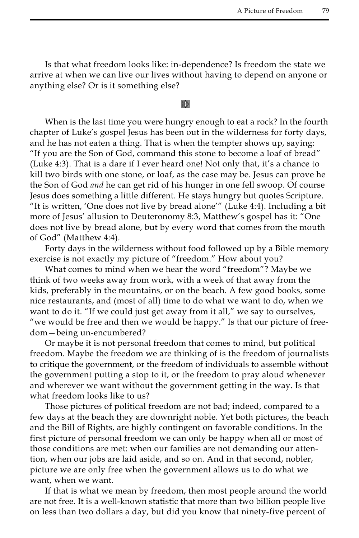Is that what freedom looks like: in-dependence? Is freedom the state we arrive at when we can live our lives without having to depend on anyone or anything else? Or is it something else?

## **⊗**

When is the last time you were hungry enough to eat a rock? In the fourth chapter of Luke's gospel Jesus has been out in the wilderness for forty days, and he has not eaten a thing. That is when the tempter shows up, saying: "If you are the Son of God, command this stone to become a loaf of bread" (Luke 4:3). That is a dare if I ever heard one! Not only that, it's a chance to kill two birds with one stone, or loaf, as the case may be. Jesus can prove he the Son of God *and* he can get rid of his hunger in one fell swoop. Of course Jesus does something a little different. He stays hungry but quotes Scripture. "It is written, 'One does not live by bread alone'" (Luke 4:4). Including a bit more of Jesus' allusion to Deuteronomy 8:3, Matthew's gospel has it: "One does not live by bread alone, but by every word that comes from the mouth of God" (Matthew 4:4).

Forty days in the wilderness without food followed up by a Bible memory exercise is not exactly my picture of "freedom." How about you?

What comes to mind when we hear the word "freedom"? Maybe we think of two weeks away from work, with a week of that away from the kids, preferably in the mountains, or on the beach. A few good books, some nice restaurants, and (most of all) time to do what we want to do, when we want to do it. "If we could just get away from it all," we say to ourselves, "we would be free and then we would be happy." Is that our picture of freedom—being un-encumbered?

Or maybe it is not personal freedom that comes to mind, but political freedom. Maybe the freedom we are thinking of is the freedom of journalists to critique the government, or the freedom of individuals to assemble without the government putting a stop to it, or the freedom to pray aloud whenever and wherever we want without the government getting in the way. Is that what freedom looks like to us?

Those pictures of political freedom are not bad; indeed, compared to a few days at the beach they are downright noble. Yet both pictures, the beach and the Bill of Rights, are highly contingent on favorable conditions. In the first picture of personal freedom we can only be happy when all or most of those conditions are met: when our families are not demanding our attention, when our jobs are laid aside, and so on. And in that second, nobler, picture we are only free when the government allows us to do what we want, when we want.

If that is what we mean by freedom, then most people around the world are not free. It is a well-known statistic that more than two billion people live on less than two dollars a day, but did you know that ninety-five percent of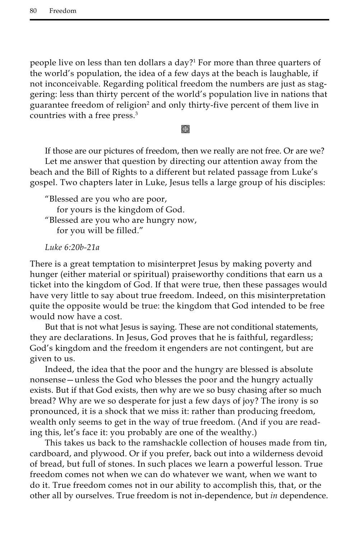people live on less than ten dollars a day?1 For more than three quarters of the world's population, the idea of a few days at the beach is laughable, if not inconceivable. Regarding political freedom the numbers are just as staggering: less than thirty percent of the world's population live in nations that guarantee freedom of religion<sup>2</sup> and only thirty-five percent of them live in countries with a free press.<sup>3</sup>

## k)

If those are our pictures of freedom, then we really are not free. Or are we? Let me answer that question by directing our attention away from the beach and the Bill of Rights to a different but related passage from Luke's gospel. Two chapters later in Luke, Jesus tells a large group of his disciples:

"Blessed are you who are poor, for yours is the kingdom of God. "Blessed are you who are hungry now, for you will be filled."

*Luke 6:20b-21a* 

There is a great temptation to misinterpret Jesus by making poverty and hunger (either material or spiritual) praiseworthy conditions that earn us a ticket into the kingdom of God. If that were true, then these passages would have very little to say about true freedom. Indeed, on this misinterpretation quite the opposite would be true: the kingdom that God intended to be free would now have a cost.

But that is not what Jesus is saying. These are not conditional statements, they are declarations. In Jesus, God proves that he is faithful, regardless; God's kingdom and the freedom it engenders are not contingent, but are given to us.

Indeed, the idea that the poor and the hungry are blessed is absolute nonsense—unless the God who blesses the poor and the hungry actually exists. But if that God exists, then why are we so busy chasing after so much bread? Why are we so desperate for just a few days of joy? The irony is so pronounced, it is a shock that we miss it: rather than producing freedom, wealth only seems to get in the way of true freedom. (And if you are reading this, let's face it: you probably are one of the wealthy.)

This takes us back to the ramshackle collection of houses made from tin, cardboard, and plywood. Or if you prefer, back out into a wilderness devoid of bread, but full of stones. In such places we learn a powerful lesson. True freedom comes not when we can do whatever we want, when we want to do it. True freedom comes not in our ability to accomplish this, that, or the other all by ourselves. True freedom is not in-dependence, but *in* dependence.